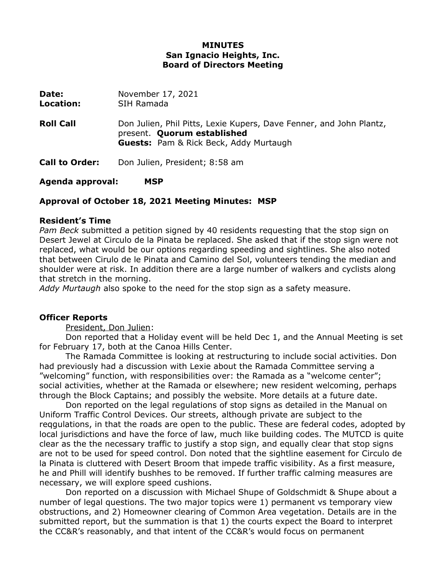## **MINUTES San Ignacio Heights, Inc. Board of Directors Meeting**

| Date:<br>Location:    | November 17, 2021<br>SIH Ramada                                                                                                                     |
|-----------------------|-----------------------------------------------------------------------------------------------------------------------------------------------------|
| <b>Roll Call</b>      | Don Julien, Phil Pitts, Lexie Kupers, Dave Fenner, and John Plantz,<br>present. Quorum established<br><b>Guests:</b> Pam & Rick Beck, Addy Murtaugh |
| <b>Call to Order:</b> | Don Julien, President; 8:58 am                                                                                                                      |

**Agenda approval: MSP**

# **Approval of October 18, 2021 Meeting Minutes: MSP**

#### **Resident's Time**

*Pam Beck* submitted a petition signed by 40 residents requesting that the stop sign on Desert Jewel at Circulo de la Pinata be replaced. She asked that if the stop sign were not replaced, what would be our options regarding speeding and sightlines. She also noted that between Cirulo de le Pinata and Camino del Sol, volunteers tending the median and shoulder were at risk. In addition there are a large number of walkers and cyclists along that stretch in the morning.

*Addy Murtaugh* also spoke to the need for the stop sign as a safety measure.

## **Officer Reports**

President, Don Julien:

Don reported that a Holiday event will be held Dec 1, and the Annual Meeting is set for February 17, both at the Canoa Hills Center.

The Ramada Committee is looking at restructuring to include social activities. Don had previously had a discussion with Lexie about the Ramada Committee serving a "welcoming" function, with responsibilities over: the Ramada as a "welcome center"; social activities, whether at the Ramada or elsewhere; new resident welcoming, perhaps through the Block Captains; and possibly the website. More details at a future date.

Don reported on the legal regulations of stop signs as detailed in the Manual on Uniform Traffic Control Devices. Our streets, although private are subject to the reqgulations, in that the roads are open to the public. These are federal codes, adopted by local jurisdictions and have the force of law, much like building codes. The MUTCD is quite clear as the the necessary traffic to justify a stop sign, and equally clear that stop signs are not to be used for speed control. Don noted that the sightline easement for Circulo de la Pinata is cluttered with Desert Broom that impede traffic visibility. As a first measure, he and Phill will identify bushhes to be removed. If further traffic calming measures are necessary, we will explore speed cushions.

Don reported on a discussion with Michael Shupe of Goldschmidt & Shupe about a number of legal questions. The two major topics were 1) permanent vs temporary view obstructions, and 2) Homeowner clearing of Common Area vegetation. Details are in the submitted report, but the summation is that 1) the courts expect the Board to interpret the CC&R's reasonably, and that intent of the CC&R's would focus on permanent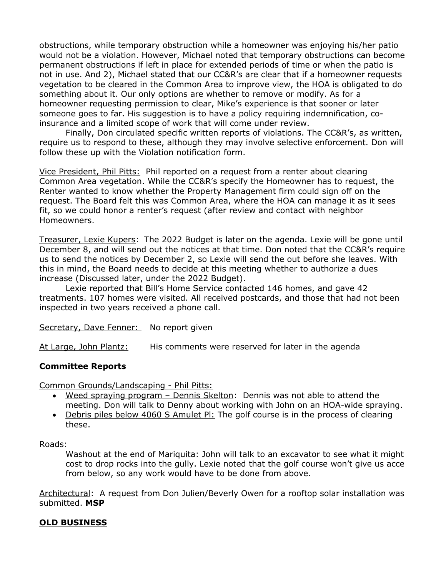obstructions, while temporary obstruction while a homeowner was enjoying his/her patio would not be a violation. However, Michael noted that temporary obstructions can become permanent obstructions if left in place for extended periods of time or when the patio is not in use. And 2), Michael stated that our CC&R's are clear that if a homeowner requests vegetation to be cleared in the Common Area to improve view, the HOA is obligated to do something about it. Our only options are whether to remove or modify. As for a homeowner requesting permission to clear, Mike's experience is that sooner or later someone goes to far. His suggestion is to have a policy requiring indemnification, coinsurance and a limited scope of work that will come under review.

Finally, Don circulated specific written reports of violations. The CC&R's, as written, require us to respond to these, although they may involve selective enforcement. Don will follow these up with the Violation notification form.

Vice President, Phil Pitts: Phil reported on a request from a renter about clearing Common Area vegetation. While the CC&R's specify the Homeowner has to request, the Renter wanted to know whether the Property Management firm could sign off on the request. The Board felt this was Common Area, where the HOA can manage it as it sees fit, so we could honor a renter's request (after review and contact with neighbor Homeowners.

Treasurer, Lexie Kupers: The 2022 Budget is later on the agenda. Lexie will be gone until December 8, and will send out the notices at that time. Don noted that the CC&R's require us to send the notices by December 2, so Lexie will send the out before she leaves. With this in mind, the Board needs to decide at this meeting whether to authorize a dues increase (Discussed later, under the 2022 Budget).

Lexie reported that Bill's Home Service contacted 146 homes, and gave 42 treatments. 107 homes were visited. All received postcards, and those that had not been inspected in two years received a phone call.

Secretary, Dave Fenner: No report given

At Large, John Plantz: His comments were reserved for later in the agenda

## **Committee Reports**

Common Grounds/Landscaping - Phil Pitts:

- Weed spraying program Dennis Skelton: Dennis was not able to attend the meeting. Don will talk to Denny about working with John on an HOA-wide spraying.
- Debris piles below 4060 S Amulet Pl: The golf course is in the process of clearing these.

## Roads:

Washout at the end of Mariquita: John will talk to an excavator to see what it might cost to drop rocks into the gully. Lexie noted that the golf course won't give us acce from below, so any work would have to be done from above.

Architectural: A request from Don Julien/Beverly Owen for a rooftop solar installation was submitted. **MSP**

## **OLD BUSINESS**